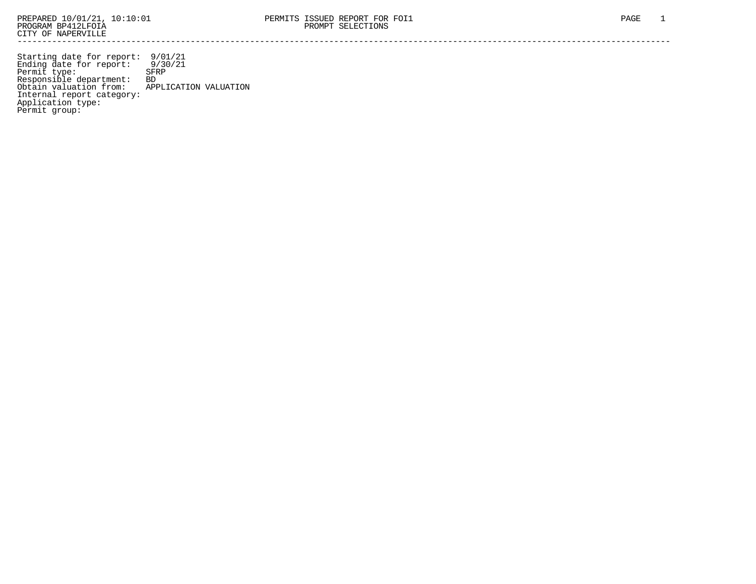Starting date for report: 9/01/21 Ending date for report: 9/30/21 Permit type: SFRP Responsible department: BD Obtain valuation from: APPLICATION VALUATION Internal report category: Application type: Permit group: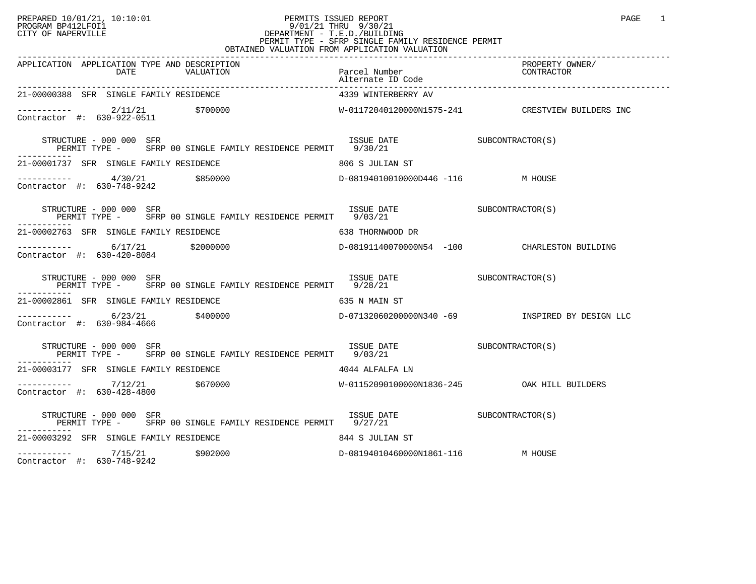## PREPARED 10/01/21, 10:10:01 PERMITS ISSUED REPORT PAGE 1 PROGRAM BP412LFOI1 9/01/21 THRU 9/30/21 CITY OF NAPERVILLE **Example 20** CITY OF NAPERVILLE CITY OF NAPERVILLE<br>
PERMIT TYPE - SFRP SINGLE FAMILY RESIDENCE PERMIT<br>
PERMIT TYPE - SFRP SINGLE FAMILY RESIDENCE PERMIT OBTAINED VALUATION FROM APPLICATION VALUATION

| APPLICATION APPLICATION TYPE AND DESCRIPTION<br>DATE<br>VALUATION                                                                                                                                                                                                                                                                                                                                                                                                                                                                                                                        | Parcel Number                                | PROPERTY OWNER/<br>CONTRACTOR |
|------------------------------------------------------------------------------------------------------------------------------------------------------------------------------------------------------------------------------------------------------------------------------------------------------------------------------------------------------------------------------------------------------------------------------------------------------------------------------------------------------------------------------------------------------------------------------------------|----------------------------------------------|-------------------------------|
| 21-00000388 SFR SINGLE FAMILY RESIDENCE                                                                                                                                                                                                                                                                                                                                                                                                                                                                                                                                                  | 4339 WINTERBERRY AV                          |                               |
| $\begin{tabular}{lclclcl} \multicolumn{2}{c}{c}{\small \texttt{---}}{\small \texttt{---}}{\small \texttt{---}}{\small \texttt{---}}{\small \texttt{---}}{\small \texttt{---}}{\small \texttt{---}}{\small \texttt{---}}{\small \texttt{---}}{\small \texttt{---}}{\small \texttt{---}}{\small \texttt{---}}{\small \texttt{---}}{\small \texttt{---}}{\small \texttt{---}}{\small \texttt{---}}{\small \texttt{---}}{\small \texttt{---}}{\small \texttt{---}}{\small \texttt{---}}{\small \texttt{---}}{\small \texttt{---}}{\small \texttt{---}}{\small \texttt{---}}{\small \texttt{$ |                                              |                               |
| $\begin{tabular}{lllllll} \bf STRUCTURE & 000 & 000 & SFR & 001 & 000 & 000 & 000 & 000 & 001 & 001 & 010 & 010 & 010 & 010 & 010 & 010 & 010 & 010 & 010 & 010 & 010 & 010 & 010 & 010 & 010 & 010 & 010 & 010 & 010 & 010 & 010 & 010 & 010 & 010 & 010 & 010 & 010 & 010 & 010 & 010 & 010$                                                                                                                                                                                                                                                                                           |                                              |                               |
| 21-00001737 SFR SINGLE FAMILY RESIDENCE<br>806 S JULIAN ST                                                                                                                                                                                                                                                                                                                                                                                                                                                                                                                               |                                              |                               |
| Contractor #: 630-748-9242                                                                                                                                                                                                                                                                                                                                                                                                                                                                                                                                                               | D-08194010010000D446 -116 M HOUSE            |                               |
| STRUCTURE - 000 000 SFR<br>PERMIT TYPE - SFRP 00 SINGLE FAMILY RESIDENCE PERMIT 9/03/21                                                                                                                                                                                                                                                                                                                                                                                                                                                                                                  | ISSUE DATE SUBCONTRACTOR(S)                  |                               |
| 21-00002763 SFR SINGLE FAMILY RESIDENCE 638 THORNWOOD DR                                                                                                                                                                                                                                                                                                                                                                                                                                                                                                                                 |                                              |                               |
| ----------- 6/17/21 \$2000000<br>Contractor #: 630-420-8084                                                                                                                                                                                                                                                                                                                                                                                                                                                                                                                              | D-08191140070000N54 -100 CHARLESTON BUILDING |                               |
| STRUCTURE - 000 000 SFR<br>PERMIT TYPE - SFRP 00 SINGLE FAMILY RESIDENCE PERMIT 9/28/21<br>-----------                                                                                                                                                                                                                                                                                                                                                                                                                                                                                   | ISSUE DATE SUBCONTRACTOR(S)                  |                               |
| 21-00002861 SFR SINGLE FAMILY RESIDENCE                                                                                                                                                                                                                                                                                                                                                                                                                                                                                                                                                  | 635 N MAIN ST                                |                               |
| ---------- 6/23/21 \$400000 \$400000 b-0713206020000000340 -69 NSPIRED BY DESIGN LLC<br>Contractor #: 630-984-4666                                                                                                                                                                                                                                                                                                                                                                                                                                                                       |                                              |                               |
| ISSUE DATE SUBCONTRACTOR(S)<br>STRUCTURE - 000 000 SFR<br>PERMIT TYPE - SFRP 00 SINGLE FAMILY RESIDENCE PERMIT 9/03/21                                                                                                                                                                                                                                                                                                                                                                                                                                                                   |                                              |                               |
| 21-00003177 SFR SINGLE FAMILY RESIDENCE<br>4044 ALFALFA LN                                                                                                                                                                                                                                                                                                                                                                                                                                                                                                                               |                                              |                               |
| $\frac{7}{12/21}$ \$670000<br>Contractor #: 630-428-4800                                                                                                                                                                                                                                                                                                                                                                                                                                                                                                                                 | W-01152090100000N1836-245 OAK HILL BUILDERS  |                               |
| STRUCTURE - 000 000 SFR<br>PERMIT TYPE - SFRP 00 SINGLE FAMILY RESIDENCE PERMIT 9/27/21<br>.                                                                                                                                                                                                                                                                                                                                                                                                                                                                                             | ISSUE DATE SUBCONTRACTOR(S)                  |                               |
| 21-00003292 SFR SINGLE FAMILY RESIDENCE                                                                                                                                                                                                                                                                                                                                                                                                                                                                                                                                                  | 844 S JULIAN ST                              |                               |
| \$902000<br>7/15/21                                                                                                                                                                                                                                                                                                                                                                                                                                                                                                                                                                      | D-08194010460000N1861-116 M HOUSE            |                               |

Contractor #: 630-748-9242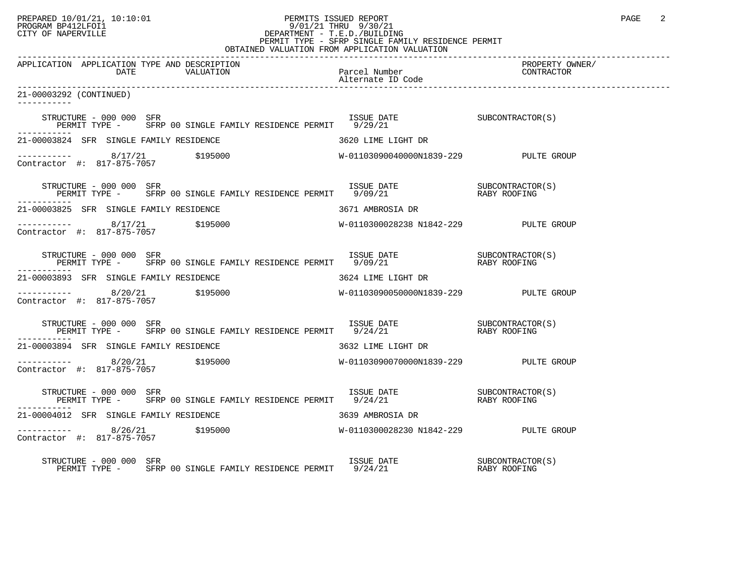## PREPARED 10/01/21, 10:10:01 PERMITS ISSUED REPORT PAGE 2 PROGRAM BP412LFOI1 9/01/21 THRU 9/30/21 CITY OF NAPERVILLE **Example 20** CITY OF NAPERVILLE CITY OF NAPERVILLE<br>
PERMIT TYPE - SFRP SINGLE FAMILY RESIDENCE PERMIT<br>
PERMIT TYPE - SFRP SINGLE FAMILY RESIDENCE PERMIT OBTAINED VALUATION FROM APPLICATION VALUATION

| VALUM VALUMILUN PR                                                                                                                                                                                               |                 |
|------------------------------------------------------------------------------------------------------------------------------------------------------------------------------------------------------------------|-----------------|
| APPLICATION APPLICATION TYPE AND DESCRIPTION                                                                                                                                                                     | PROPERTY OWNER/ |
| 21-00003292 (CONTINUED)                                                                                                                                                                                          |                 |
| $\begin{tabular}{lllllllll} \texttt{STRUCTURE} & - & 000 & 000 & SFR & & & & & & & \\ \texttt{PERMIT} & TYPE & - & SFRP & 00 & SINGLE FAMILY RESIDENCE PERMIT & 9/29/21 & & & & & & \\ \end{tabular}$            |                 |
| 21-00003824 SFR SINGLE FAMILY RESIDENCE THE SERIES RESOURCE 3620 LIME LIGHT DR                                                                                                                                   |                 |
|                                                                                                                                                                                                                  |                 |
| STRUCTURE – 000 000 SFR<br>PERMIT TYPE – SFRP 00 SINGLE FAMILY RESIDENCE PERMIT 9/09/21 – RABY ROOFING                                                                                                           |                 |
| 21-00003825 SFR SINGLE FAMILY RESIDENCE THE SERIES OF 3671 AMBROSIA DR                                                                                                                                           |                 |
|                                                                                                                                                                                                                  |                 |
| STRUCTURE – 000 000 SFR<br>PERMIT TYPE – SFRP 00 SINGLE FAMILY RESIDENCE PERMIT 9/09/21 – RABY ROOFING                                                                                                           |                 |
|                                                                                                                                                                                                                  |                 |
|                                                                                                                                                                                                                  |                 |
| STRUCTURE – 000 000 SFR<br>PERMIT TYPE – SFRP 00 SINGLE FAMILY RESIDENCE PERMIT 9/24/21 – RABY ROOFING                                                                                                           |                 |
| 21-00003894 SFR SINGLE FAMILY RESIDENCE THE SERVICE SERVICE STRING SOLUME LIGHT DR                                                                                                                               |                 |
|                                                                                                                                                                                                                  |                 |
| STRUCTURE – 000 000 SFR<br>PERMIT TYPE – SFRP 00 SINGLE FAMILY RESIDENCE PERMIT 9/24/21 – RABY ROOFING                                                                                                           |                 |
| 21-00004012 SFR SINGLE FAMILY RESIDENCE THE SERIES OF STRING STRINGER STRINGER                                                                                                                                   |                 |
|                                                                                                                                                                                                                  |                 |
| $\begin{array}{cccc} \texttt{STRUCTURE} & - & 000 & 000 & \texttt{SFR} \\ \texttt{PERMIT TYPE} & - & \texttt{SFRP} & 00 & \texttt{SINGLE FAMILY RESIDENCE PERMIT} & 9/24/21 & \texttt{RASY ROOFING} \end{array}$ |                 |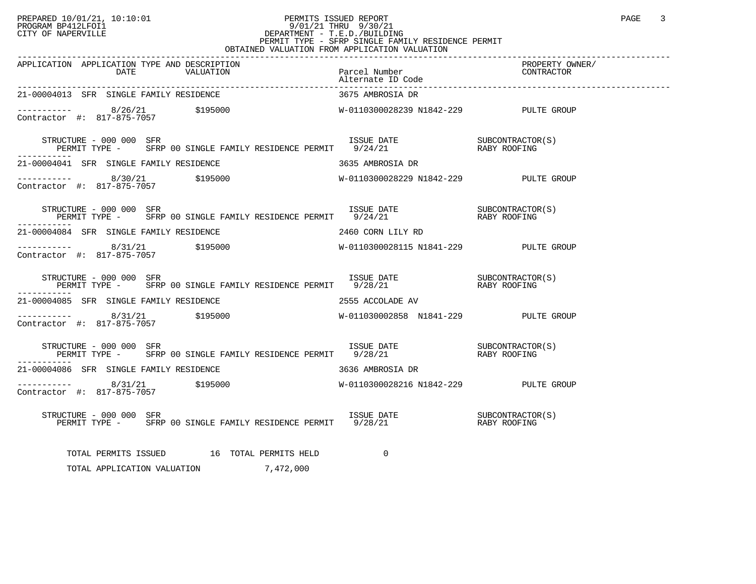## PREPARED 10/01/21, 10:10:01<br>PROGRAM BP412LFOI1 PAGE 3<br>PROGRAM BP412LFOI1 PAGE 3 PROGRAM BP412LFOI1 9/01/21 THRU 9/30/21 CITY OF NAPERVILLE **Example 20** CITY OF NAPERVILLE CITY OF NAPERVILLE<br>
PERMIT TYPE - SFRP SINGLE FAMILY RESIDENCE PERMIT<br>
PERMIT TYPE - SFRP SINGLE FAMILY RESIDENCE PERMIT OBTAINED VALUATION FROM APPLICATION VALUATION

| APPLICATION APPLICATION TYPE AND DESCRIPTION<br>APPLICATION APPLICATION TYPE AND DESCRIPTION PERITY OWNER PROPERTY OWNER PROPERTY OWNER<br>DATE VALUATION Parcel Number (2007 DATE VALUATION Alternate ID Code ) alternate D Code                                                                                                                                                                                                                                           |                   |  |
|-----------------------------------------------------------------------------------------------------------------------------------------------------------------------------------------------------------------------------------------------------------------------------------------------------------------------------------------------------------------------------------------------------------------------------------------------------------------------------|-------------------|--|
| 21-00004013 SFR SINGLE FAMILY RESIDENCE                                                                                                                                                                                                                                                                                                                                                                                                                                     | 3675 AMBROSIA DR  |  |
| ----------- 8/26/21 \$195000<br>Contractor #: 817-875-7057 \$195000<br>Contractor #: 817-875-7057 \$195000<br>Superior M-0110300028239 N1842-229 PULTE GROUP                                                                                                                                                                                                                                                                                                                |                   |  |
| $\begin{tabular}{lllllllll} \multicolumn{2}{c}{STRUCTURE} & - & 000 & 000 & SFR & \\ \multicolumn{2}{c}{FERMIT} & TYPE & - & SFRP & 00 & SINGLE & FAMILY & RESIDENCE & PERMIT & 9/24/21 & & \\ \multicolumn{2}{c}{PERMIT} & TYPE & - & SFRP & 00 & SINGLE & FAMILY & RESIDENCE & PERMIT & 9/24/21 & & \\ \multicolumn{2}{c}{RRF} & & & & & & & \\ \multicolumn{2}{c}{PERMIT} & & & & & & & \\ \multicolumn{2}{c}{PERMIT} & & & & & & & \\ \multicolumn{2}{c$<br>----------- |                   |  |
| 21-00004041 SFR SINGLE FAMILY RESIDENCE THE SERIES ON STRING STRING OR                                                                                                                                                                                                                                                                                                                                                                                                      |                   |  |
| $\begin{array}{cccccccc} - & & & & 8/30/21 & & & 5195000 & & & & & & \text{W-0110300028229 N1842-229 & & & & & & \text{PULTE GROUP} \\ \text{Contractor} & \#: & 817-875-7057 & & & 5195000 & & & & & \text{W-0110300028229 N1842-229 & & & & \text{PULTE GROUP} \end{array}$                                                                                                                                                                                               |                   |  |
| STRUCTURE - 000 000 SFR<br>PERMIT TYPE - SFRP 00 SINGLE FAMILY RESIDENCE PERMIT 9/24/21 21 RABY ROOFING                                                                                                                                                                                                                                                                                                                                                                     |                   |  |
| 21-00004084 SFR SINGLE FAMILY RESIDENCE                                                                                                                                                                                                                                                                                                                                                                                                                                     | 2460 CORN LILY RD |  |
| ----------- 8/31/21 \$195000<br>Contractor #: 817-875-7057 \$195000<br>Contractor #: 817-875-7057                                                                                                                                                                                                                                                                                                                                                                           |                   |  |
| $\begin{array}{cccccc} \texttt{STRUCTURE} & - & 000 & 000 & \texttt{SFR} & & & \\ \texttt{PERMIT TYPE} & - & & \texttt{SFRP} & 00 & \texttt{SINGLE FAMILY RESIDENCE PERMIT} & 9/28/21 & & & \\ \end{array}$                                                                                                                                                                                                                                                                 |                   |  |
| 21-00004085 SFR SINGLE FAMILY RESIDENCE THE SERIES OF 2555 ACCOLADE AV                                                                                                                                                                                                                                                                                                                                                                                                      |                   |  |
| Contractor #: 817-875-7057                                                                                                                                                                                                                                                                                                                                                                                                                                                  |                   |  |
| $\begin{array}{cccccc} \texttt{STRUCTURE} & - & 000 & 000 & \texttt{SFR} & & & \\ \texttt{PERMIT TYPE} & - & & \texttt{SFRP} & 00 & \texttt{SINGLE FAMILY RESIDENCE PERMIT} & 9/28/21 & & & \\ \end{array}$<br>-----------                                                                                                                                                                                                                                                  |                   |  |
| $21\text{--}00004086$ SFR SINGLE FAMILY RESIDENCE $3636$ AMBROSIA DR                                                                                                                                                                                                                                                                                                                                                                                                        |                   |  |
|                                                                                                                                                                                                                                                                                                                                                                                                                                                                             |                   |  |
| RUCTURE – 000 000 SFR<br>PERMIT TYPE – SFRP 00 SINGLE FAMILY RESIDENCE PERMIT 9/28/21 – THE RABY ROOFING<br>STRUCTURE - 000 000 SFR                                                                                                                                                                                                                                                                                                                                         |                   |  |
| TOTAL PERMITS ISSUED 16 TOTAL PERMITS HELD                                                                                                                                                                                                                                                                                                                                                                                                                                  | $\Omega$          |  |

TOTAL APPLICATION VALUATION 7,472,000